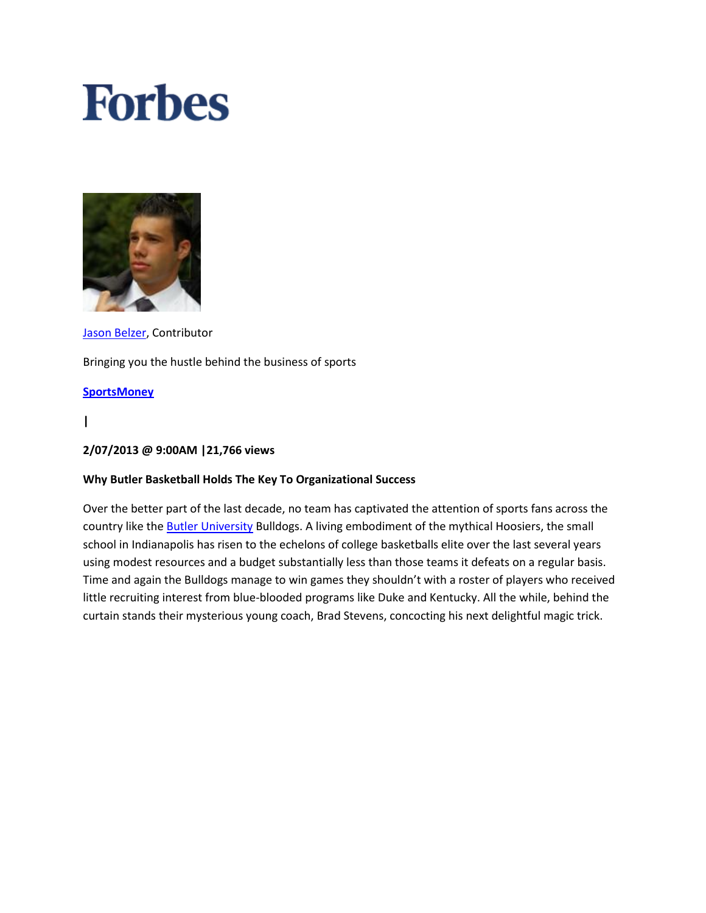# **Forbes**



[Jason Belzer,](http://blogs.forbes.com/jasonbelzer/) Contributor Bringing you the hustle behind the business of sports

## **[SportsMoney](http://www.forbes.com/sportsmoney)**

**|**

### **2/07/2013 @ 9:00AM |21,766 views**

## **Why Butler Basketball Holds The Key To Organizational Success**

Over the better part of the last decade, no team has captivated the attention of sports fans across the country like the **Butler University Bulldogs**. A living embodiment of the mythical Hoosiers, the small school in Indianapolis has risen to the echelons of college basketballs elite over the last several years using modest resources and a budget substantially less than those teams it defeats on a regular basis. Time and again the Bulldogs manage to win games they shouldn't with a roster of players who received little recruiting interest from blue-blooded programs like Duke and Kentucky. All the while, behind the curtain stands their mysterious young coach, Brad Stevens, concocting his next delightful magic trick.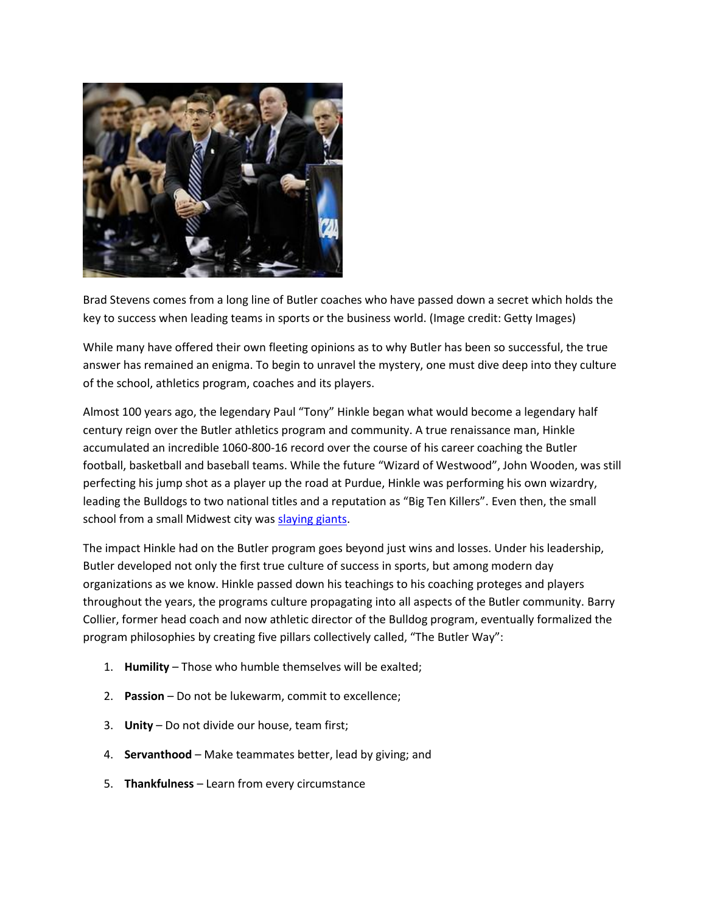

Brad Stevens comes from a long line of Butler coaches who have passed down a secret which holds the key to success when leading teams in sports or the business world. (Image credit: Getty Images)

While many have offered their own fleeting opinions as to why Butler has been so successful, the true answer has remained an enigma. To begin to unravel the mystery, one must dive deep into they culture of the school, athletics program, coaches and its players.

Almost 100 years ago, the legendary Paul "Tony" Hinkle began what would become a legendary half century reign over the Butler athletics program and community. A true renaissance man, Hinkle accumulated an incredible 1060-800-16 record over the course of his career coaching the Butler football, basketball and baseball teams. While the future "Wizard of Westwood", John Wooden, was still perfecting his jump shot as a player up the road at Purdue, Hinkle was performing his own wizardry, leading the Bulldogs to two national titles and a reputation as "Big Ten Killers". Even then, the small school from a small Midwest city was [slaying giants.](http://www.hoophall.com/hall-of-famers/tag/paul-d-tony-hinkle)

The impact Hinkle had on the Butler program goes beyond just wins and losses. Under his leadership, Butler developed not only the first true culture of success in sports, but among modern day organizations as we know. Hinkle passed down his teachings to his coaching proteges and players throughout the years, the programs culture propagating into all aspects of the Butler community. Barry Collier, former head coach and now athletic director of the Bulldog program, eventually formalized the program philosophies by creating five pillars collectively called, "The Butler Way":

- 1. **Humility** Those who humble themselves will be exalted;
- 2. **Passion** Do not be lukewarm, commit to excellence;
- 3. **Unity** Do not divide our house, team first;
- 4. **Servanthood** Make teammates better, lead by giving; and
- 5. **Thankfulness** Learn from every circumstance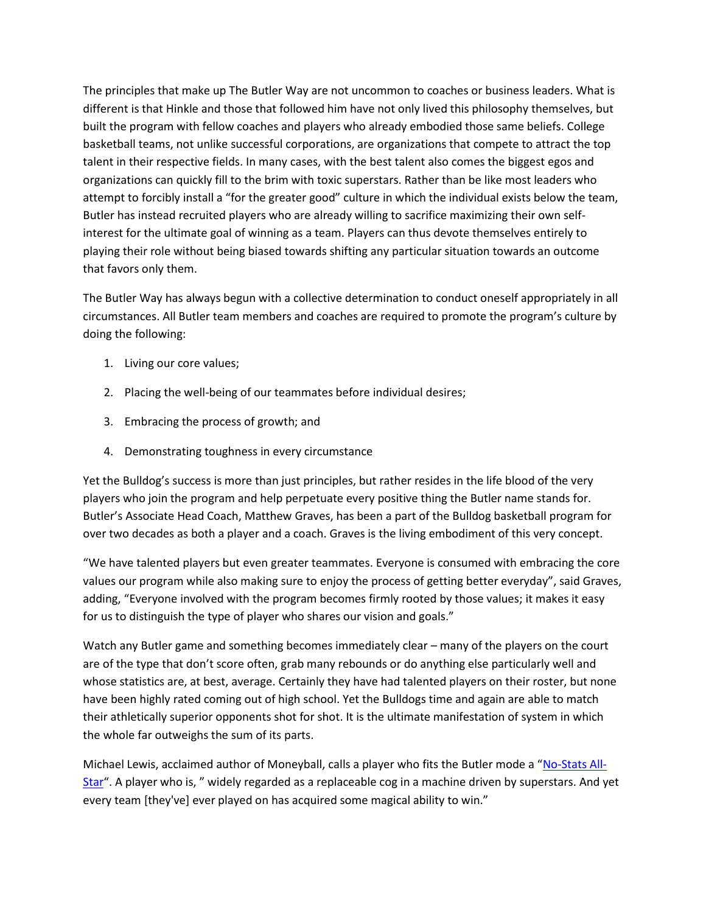The principles that make up The Butler Way are not uncommon to coaches or business leaders. What is different is that Hinkle and those that followed him have not only lived this philosophy themselves, but built the program with fellow coaches and players who already embodied those same beliefs. College basketball teams, not unlike successful corporations, are organizations that compete to attract the top talent in their respective fields. In many cases, with the best talent also comes the biggest egos and organizations can quickly fill to the brim with toxic superstars. Rather than be like most leaders who attempt to forcibly install a "for the greater good" culture in which the individual exists below the team, Butler has instead recruited players who are already willing to sacrifice maximizing their own selfinterest for the ultimate goal of winning as a team. Players can thus devote themselves entirely to playing their role without being biased towards shifting any particular situation towards an outcome that favors only them.

The Butler Way has always begun with a collective determination to conduct oneself appropriately in all circumstances. All Butler team members and coaches are required to promote the program's culture by doing the following:

- 1. Living our core values;
- 2. Placing the well-being of our teammates before individual desires;
- 3. Embracing the process of growth; and
- 4. Demonstrating toughness in every circumstance

Yet the Bulldog's success is more than just principles, but rather resides in the life blood of the very players who join the program and help perpetuate every positive thing the Butler name stands for. Butler's Associate Head Coach, Matthew Graves, has been a part of the Bulldog basketball program for over two decades as both a player and a coach. Graves is the living embodiment of this very concept.

"We have talented players but even greater teammates. Everyone is consumed with embracing the core values our program while also making sure to enjoy the process of getting better everyday", said Graves, adding, "Everyone involved with the program becomes firmly rooted by those values; it makes it easy for us to distinguish the type of player who shares our vision and goals."

Watch any Butler game and something becomes immediately clear – many of the players on the court are of the type that don't score often, grab many rebounds or do anything else particularly well and whose statistics are, at best, average. Certainly they have had talented players on their roster, but none have been highly rated coming out of high school. Yet the Bulldogs time and again are able to match their athletically superior opponents shot for shot. It is the ultimate manifestation of system in which the whole far outweighs the sum of its parts.

Michael Lewis, acclaimed author of Moneyball, calls a player who fits the Butler mode a "[No-Stats All-](http://www.nytimes.com/2009/02/15/magazine/15Battier-t.html?pagewanted=all&_r=0)[Star](http://www.nytimes.com/2009/02/15/magazine/15Battier-t.html?pagewanted=all&_r=0)". A player who is, " widely regarded as a replaceable cog in a machine driven by superstars. And yet every team [they've] ever played on has acquired some magical ability to win."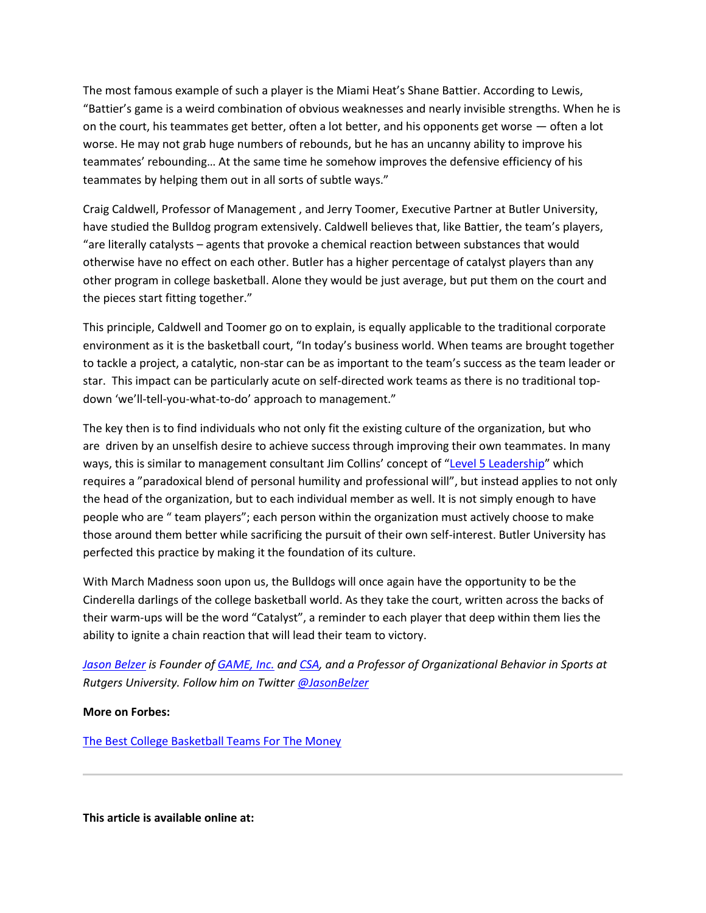The most famous example of such a player is the Miami Heat's Shane Battier. According to Lewis, "Battier's game is a weird combination of obvious weaknesses and nearly invisible strengths. When he is on the court, his teammates get better, often a lot better, and his opponents get worse — often a lot worse. He may not grab huge numbers of rebounds, but he has an uncanny ability to improve his teammates' rebounding… At the same time he somehow improves the defensive efficiency of his teammates by helping them out in all sorts of subtle ways."

Craig Caldwell, Professor of Management , and Jerry Toomer, Executive Partner at Butler University, have studied the Bulldog program extensively. Caldwell believes that, like Battier, the team's players, "are literally catalysts – agents that provoke a chemical reaction between substances that would otherwise have no effect on each other. Butler has a higher percentage of catalyst players than any other program in college basketball. Alone they would be just average, but put them on the court and the pieces start fitting together."

This principle, Caldwell and Toomer go on to explain, is equally applicable to the traditional corporate environment as it is the basketball court, "In today's business world. When teams are brought together to tackle a project, a catalytic, non-star can be as important to the team's success as the team leader or star. This impact can be particularly acute on self-directed work teams as there is no traditional topdown 'we'll-tell-you-what-to-do' approach to management."

The key then is to find individuals who not only fit the existing culture of the organization, but who are driven by an unselfish desire to achieve success through improving their own teammates. In many ways, this is similar to management consultant Jim Collins' concept of "[Level 5 Leadership](http://www.jimcollins.com/index.html)" which requires a "paradoxical blend of personal humility and professional will", but instead applies to not only the head of the organization, but to each individual member as well. It is not simply enough to have people who are " team players"; each person within the organization must actively choose to make those around them better while sacrificing the pursuit of their own self-interest. Butler University has perfected this practice by making it the foundation of its culture.

With March Madness soon upon us, the Bulldogs will once again have the opportunity to be the Cinderella darlings of the college basketball world. As they take the court, written across the backs of their warm-ups will be the word "Catalyst", a reminder to each player that deep within them lies the ability to ignite a chain reaction that will lead their team to victory.

*[Jason Belzer](http://blogs.forbes.com/jasonbelzer/) is Founder of [GAME, Inc.](http://www.gameinconline.com/) and [CSA,](http://www.sportsadvisors.co/) and a Professor of Organizational Behavior in Sports at Rutgers University. Follow him on Twitter [@JasonBelzer](https://twitter.com/JasonBelzer)*

#### **More on Forbes:**

[The Best College Basketball Teams For The Money](http://www.forbes.com/pictures/fiei45jle/the-best-college-basketball-teams-for-the-money/)

**This article is available online at:**